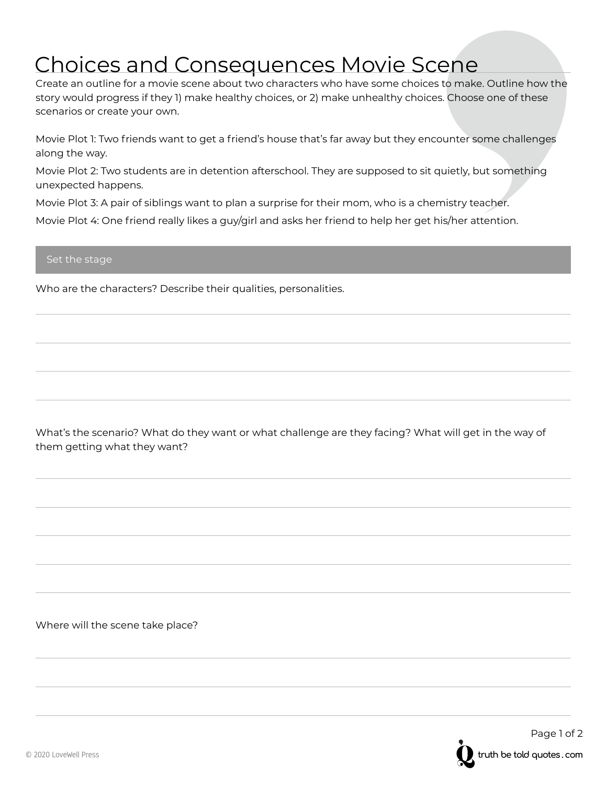## Choices and Consequences Movie Scene

Create an outline for a movie scene about two characters who have some choices to make. Outline how the story would progress if they 1) make healthy choices, or 2) make unhealthy choices. Choose one of these scenarios or create your own.

Movie Plot 1: Two friends want to get a friend's house that's far away but they encounter some challenges along the way.

Movie Plot 2: Two students are in detention afterschool. They are supposed to sit quietly, but something unexpected happens.

Movie Plot 3: A pair of siblings want to plan a surprise for their mom, who is a chemistry teacher.

Movie Plot 4: One friend really likes a guy/girl and asks her friend to help her get his/her attention.

## Set the stage

Who are the characters? Describe their qualities, personalities.

What's the scenario? What do they want or what challenge are they facing? What will get in the way of them getting what they want?

Where will the scene take place?